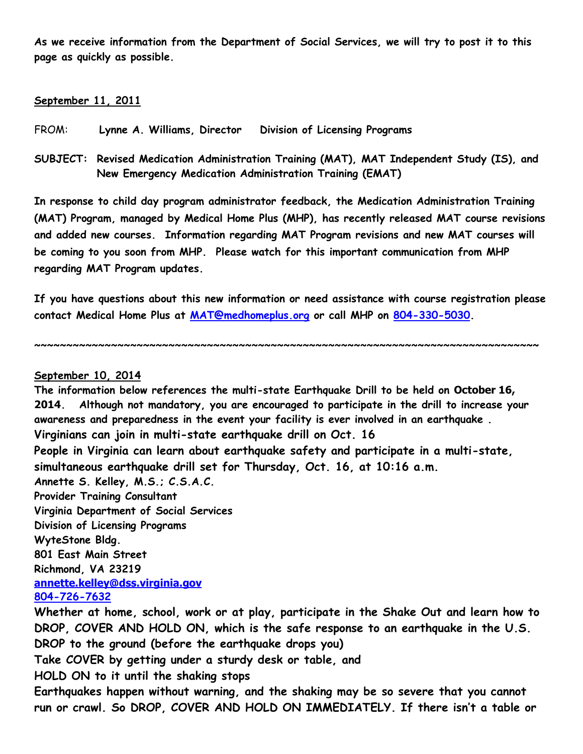**As we receive information from the Department of Social Services, we will try to post it to this page as quickly as possible.**

## **September 11, 2011**

- FROM: **Lynne A. Williams, Director Division of Licensing Programs**
- **SUBJECT: Revised Medication Administration Training (MAT), MAT Independent Study (IS), and New Emergency Medication Administration Training (EMAT)**

**In response to child day program administrator feedback, the Medication Administration Training (MAT) Program, managed by Medical Home Plus (MHP), has recently released MAT course revisions and added new courses. Information regarding MAT Program revisions and new MAT courses will be coming to you soon from MHP. Please watch for this important communication from MHP regarding MAT Program updates.** 

**If you have questions about this new information or need assistance with course registration please contact Medical Home Plus at [MAT@medhomeplus.org](mailto:MAT@medhomeplus.org) or call MHP on [804-330-5030.](tel:804-330-5030)**

**~~~~~~~~~~~~~~~~~~~~~~~~~~~~~~~~~~~~~~~~~~~~~~~~~~~~~~~~~~~~~~~~~~~~~~~~~~~~~~~**

## **September 10, 2014**

**The information below references the multi-state Earthquake Drill to be held on October 16, 2014. Although not mandatory, you are encouraged to participate in the drill to increase your awareness and preparedness in the event your facility is ever involved in an earthquake . Virginians can join in multi-state earthquake drill on Oct. 16**

**People in Virginia can learn about earthquake safety and participate in a multi-state, simultaneous earthquake drill set for Thursday, Oct. 16, at 10:16 a.m.**

**Annette S. Kelley, M.S.; C.S.A.C.**

**Provider Training Consultant**

**Virginia Department of Social Services Division of Licensing Programs WyteStone Bldg. 801 East Main Street Richmond, VA 23219 [annette.kelley@dss.virginia.gov](mailto:annette.kelley@dss.virginia.gov)**

## **[804-726-7632](tel:804-726-7632)**

**Whether at home, school, work or at play, participate in the Shake Out and learn how to DROP, COVER AND HOLD ON, which is the safe response to an earthquake in the U.S. DROP to the ground (before the earthquake drops you)**

**Take COVER by getting under a sturdy desk or table, and**

**HOLD ON to it until the shaking stops**

**Earthquakes happen without warning, and the shaking may be so severe that you cannot run or crawl. So DROP, COVER AND HOLD ON IMMEDIATELY. If there isn't a table or**